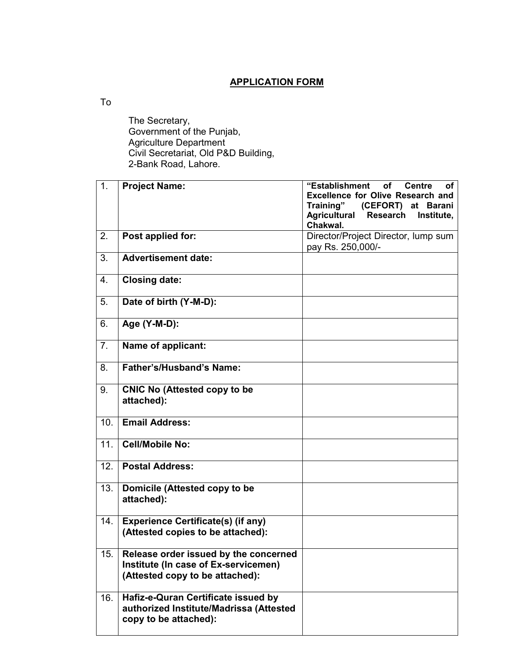## **APPLICATION FORM**

To

 The Secretary, Government of the Punjab, Agriculture Department Civil Secretariat, Old P&D Building, 2-Bank Road, Lahore.

| 1.             | <b>Project Name:</b>                      | "Establishment<br><b>Centre</b><br><b>of</b><br>οf |
|----------------|-------------------------------------------|----------------------------------------------------|
|                |                                           | <b>Excellence for Olive Research and</b>           |
|                |                                           | Training" (CEFORT) at Barani                       |
|                |                                           | <b>Agricultural</b><br>Research<br>Institute,      |
|                |                                           | Chakwal.                                           |
| 2.             | Post applied for:                         | Director/Project Director, lump sum                |
|                |                                           | pay Rs. 250,000/-                                  |
| 3.             | <b>Advertisement date:</b>                |                                                    |
|                |                                           |                                                    |
| 4.             | <b>Closing date:</b>                      |                                                    |
|                |                                           |                                                    |
| 5.             | Date of birth (Y-M-D):                    |                                                    |
|                |                                           |                                                    |
|                |                                           |                                                    |
| 6.             | Age (Y-M-D):                              |                                                    |
|                |                                           |                                                    |
| 7 <sub>1</sub> | Name of applicant:                        |                                                    |
|                |                                           |                                                    |
| 8.             | <b>Father's/Husband's Name:</b>           |                                                    |
|                |                                           |                                                    |
| 9.             | <b>CNIC No (Attested copy to be</b>       |                                                    |
|                | attached):                                |                                                    |
|                |                                           |                                                    |
| 10.            | <b>Email Address:</b>                     |                                                    |
|                |                                           |                                                    |
| 11.            | <b>Cell/Mobile No:</b>                    |                                                    |
|                |                                           |                                                    |
|                |                                           |                                                    |
| 12.            | <b>Postal Address:</b>                    |                                                    |
|                |                                           |                                                    |
| 13.            | Domicile (Attested copy to be             |                                                    |
|                | attached):                                |                                                    |
|                |                                           |                                                    |
| 14.            | <b>Experience Certificate(s) (if any)</b> |                                                    |
|                | (Attested copies to be attached):         |                                                    |
|                |                                           |                                                    |
| 15.            | Release order issued by the concerned     |                                                    |
|                | Institute (In case of Ex-servicemen)      |                                                    |
|                | (Attested copy to be attached):           |                                                    |
|                |                                           |                                                    |
| 16.            | Hafiz-e-Quran Certificate issued by       |                                                    |
|                |                                           |                                                    |
|                | authorized Institute/Madrissa (Attested   |                                                    |
|                | copy to be attached):                     |                                                    |
|                |                                           |                                                    |